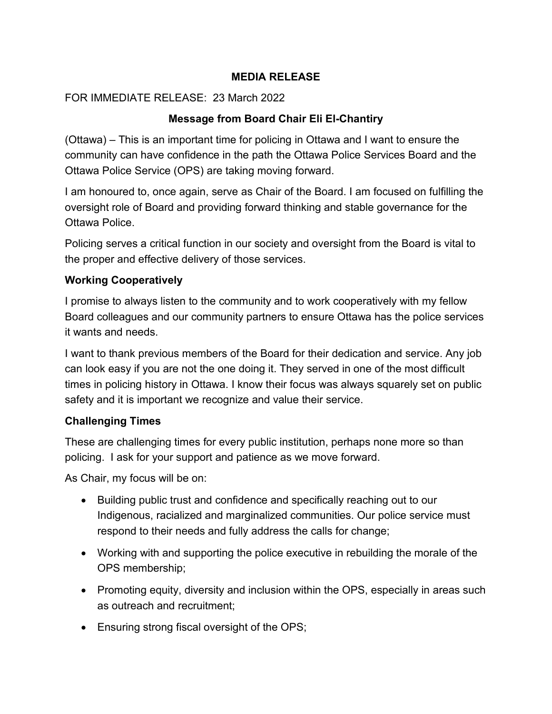#### **MEDIA RELEASE**

### FOR IMMEDIATE RELEASE: 23 March 2022

# **Message from Board Chair Eli El-Chantiry**

(Ottawa) – This is an important time for policing in Ottawa and I want to ensure the community can have confidence in the path the Ottawa Police Services Board and the Ottawa Police Service (OPS) are taking moving forward.

I am honoured to, once again, serve as Chair of the Board. I am focused on fulfilling the oversight role of Board and providing forward thinking and stable governance for the Ottawa Police.

Policing serves a critical function in our society and oversight from the Board is vital to the proper and effective delivery of those services.

### **Working Cooperatively**

I promise to always listen to the community and to work cooperatively with my fellow Board colleagues and our community partners to ensure Ottawa has the police services it wants and needs.

I want to thank previous members of the Board for their dedication and service. Any job can look easy if you are not the one doing it. They served in one of the most difficult times in policing history in Ottawa. I know their focus was always squarely set on public safety and it is important we recognize and value their service.

# **Challenging Times**

These are challenging times for every public institution, perhaps none more so than policing. I ask for your support and patience as we move forward.

As Chair, my focus will be on:

- Building public trust and confidence and specifically reaching out to our Indigenous, racialized and marginalized communities. Our police service must respond to their needs and fully address the calls for change;
- Working with and supporting the police executive in rebuilding the morale of the OPS membership;
- Promoting equity, diversity and inclusion within the OPS, especially in areas such as outreach and recruitment;
- Ensuring strong fiscal oversight of the OPS;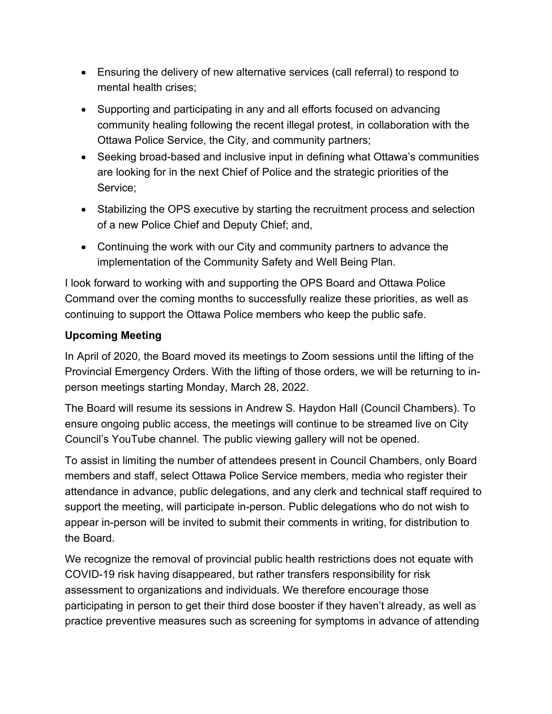- Ensuring the delivery of new alternative services (call referral) to respond to mental health crises;
- Supporting and participating in any and all efforts focused on advancing community healing following the recent illegal protest, in collaboration with the Ottawa Police Service, the City, and community partners;
- Seeking broad-based and inclusive input in defining what Ottawa's communities are looking for in the next Chief of Police and the strategic priorities of the Service;
- Stabilizing the OPS executive by starting the recruitment process and selection of a new Police Chief and Deputy Chief; and,
- Continuing the work with our City and community partners to advance the implementation of the Community Safety and Well Being Plan.

I look forward to working with and supporting the OPS Board and Ottawa Police Command over the coming months to successfully realize these priorities, as well as continuing to support the Ottawa Police members who keep the public safe.

# **Upcoming Meeting**

In April of 2020, the Board moved its meetings to Zoom sessions until the lifting of the Provincial Emergency Orders. With the lifting of those orders, we will be returning to inperson meetings starting Monday, March 28, 2022.

The Board will resume its sessions in Andrew S. Haydon Hall (Council Chambers). To ensure ongoing public access, the meetings will continue to be streamed live on City Council's YouTube channel. The public viewing gallery will not be opened.

To assist in limiting the number of attendees present in Council Chambers, only Board members and staff, select Ottawa Police Service members, media who register their attendance in advance, public delegations, and any clerk and technical staff required to support the meeting, will participate in-person. Public delegations who do not wish to appear in-person will be invited to submit their comments in writing, for distribution to the Board.

We recognize the removal of provincial public health restrictions does not equate with COVID-19 risk having disappeared, but rather transfers responsibility for risk assessment to organizations and individuals. We therefore encourage those participating in person to get their third dose booster if they haven't already, as well as practice preventive measures such as screening for symptoms in advance of attending